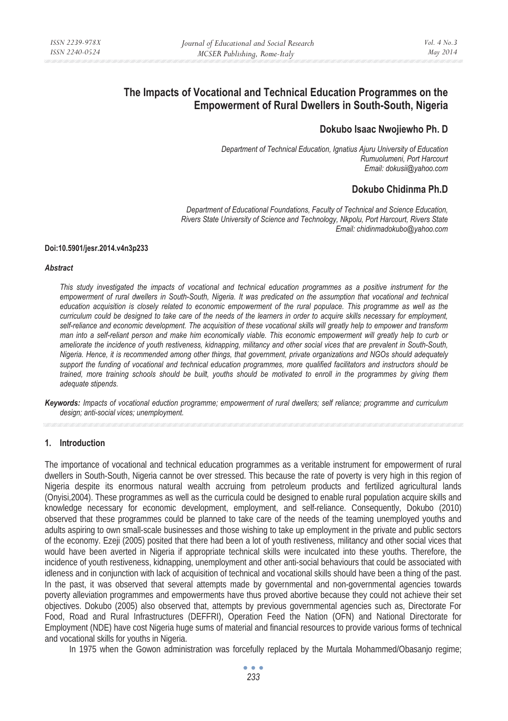# **The Impacts of Vocational and Technical Education Programmes on the Empowerment of Rural Dwellers in South-South, Nigeria**

# **Dokubo Isaac Nwojiewho Ph. D**

*Department of Technical Education, Ignatius Ajuru University of Education Rumuolumeni, Port Harcourt Email: dokusii@yahoo.com* 

# **Dokubo Chidinma Ph.D**

*Department of Educational Foundations, Faculty of Technical and Science Education, Rivers State University of Science and Technology, Nkpolu, Port Harcourt, Rivers State Email: chidinmadokubo@yahoo.com* 

#### **Doi:10.5901/jesr.2014.v4n3p233**

#### *Abstract*

*This study investigated the impacts of vocational and technical education programmes as a positive instrument for the empowerment of rural dwellers in South-South, Nigeria. It was predicated on the assumption that vocational and technical education acquisition is closely related to economic empowerment of the rural populace. This programme as well as the curriculum could be designed to take care of the needs of the learners in order to acquire skills necessary for employment, self-reliance and economic development. The acquisition of these vocational skills will greatly help to empower and transform man into a self-reliant person and make him economically viable. This economic empowerment will greatly help to curb or ameliorate the incidence of youth restiveness, kidnapping, militancy and other social vices that are prevalent in South-South, Nigeria. Hence, it is recommended among other things, that government, private organizations and NGOs should adequately support the funding of vocational and technical education programmes, more qualified facilitators and instructors should be trained, more training schools should be built, youths should be motivated to enroll in the programmes by giving them adequate stipends.* 

*Keywords: Impacts of vocational eduction programme; empowerment of rural dwellers; self reliance; programme and curriculum design; anti-social vices; unemployment.* 

## **1. Introduction**

The importance of vocational and technical education programmes as a veritable instrument for empowerment of rural dwellers in South-South, Nigeria cannot be over stressed. This because the rate of poverty is very high in this region of Nigeria despite its enormous natural wealth accruing from petroleum products and fertilized agricultural lands (Onyisi,2004). These programmes as well as the curricula could be designed to enable rural population acquire skills and knowledge necessary for economic development, employment, and self-reliance. Consequently, Dokubo (2010) observed that these programmes could be planned to take care of the needs of the teaming unemployed youths and adults aspiring to own small-scale businesses and those wishing to take up employment in the private and public sectors of the economy. Ezeji (2005) posited that there had been a lot of youth restiveness, militancy and other social vices that would have been averted in Nigeria if appropriate technical skills were inculcated into these youths. Therefore, the incidence of youth restiveness, kidnapping, unemployment and other anti-social behaviours that could be associated with idleness and in conjunction with lack of acquisition of technical and vocational skills should have been a thing of the past. In the past, it was observed that several attempts made by governmental and non-governmental agencies towards poverty alleviation programmes and empowerments have thus proved abortive because they could not achieve their set objectives. Dokubo (2005) also observed that, attempts by previous governmental agencies such as, Directorate For Food, Road and Rural Infrastructures (DEFFRI), Operation Feed the Nation (OFN) and National Directorate for Employment (NDE) have cost Nigeria huge sums of material and financial resources to provide various forms of technical and vocational skills for youths in Nigeria.

In 1975 when the Gowon administration was forcefully replaced by the Murtala Mohammed/Obasanjo regime;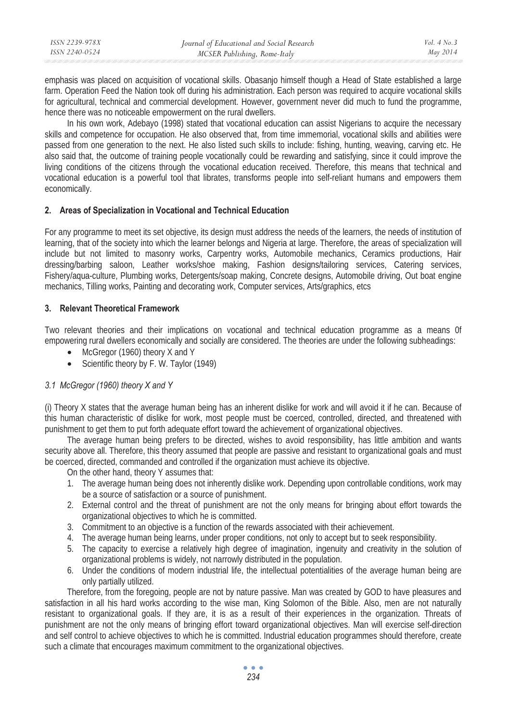| ISSN 2239-978X | Journal of Educational and Social Research | Vol. $4$ No. $3$ |
|----------------|--------------------------------------------|------------------|
| ISSN 2240-0524 | MCSER Publishing, Rome-Italy               | May 2014         |
|                |                                            |                  |

emphasis was placed on acquisition of vocational skills. Obasanjo himself though a Head of State established a large farm. Operation Feed the Nation took off during his administration. Each person was required to acquire vocational skills for agricultural, technical and commercial development. However, government never did much to fund the programme, hence there was no noticeable empowerment on the rural dwellers.

In his own work, Adebayo (1998) stated that vocational education can assist Nigerians to acquire the necessary skills and competence for occupation. He also observed that, from time immemorial, vocational skills and abilities were passed from one generation to the next. He also listed such skills to include: fishing, hunting, weaving, carving etc. He also said that, the outcome of training people vocationally could be rewarding and satisfying, since it could improve the living conditions of the citizens through the vocational education received. Therefore, this means that technical and vocational education is a powerful tool that librates, transforms people into self-reliant humans and empowers them economically.

#### **2. Areas of Specialization in Vocational and Technical Education**

For any programme to meet its set objective, its design must address the needs of the learners, the needs of institution of learning, that of the society into which the learner belongs and Nigeria at large. Therefore, the areas of specialization will include but not limited to masonry works, Carpentry works, Automobile mechanics, Ceramics productions, Hair dressing/barbing saloon, Leather works/shoe making, Fashion designs/tailoring services, Catering services, Fishery/aqua-culture, Plumbing works, Detergents/soap making, Concrete designs, Automobile driving, Out boat engine mechanics, Tilling works, Painting and decorating work, Computer services, Arts/graphics, etcs

## **3. Relevant Theoretical Framework**

Two relevant theories and their implications on vocational and technical education programme as a means 0f empowering rural dwellers economically and socially are considered. The theories are under the following subheadings:

- McGregor (1960) theory X and Y
- Scientific theory by F. W. Taylor (1949)

## *3.1 McGregor (1960) theory X and Y*

(i) Theory X states that the average human being has an inherent dislike for work and will avoid it if he can. Because of this human characteristic of dislike for work, most people must be coerced, controlled, directed, and threatened with punishment to get them to put forth adequate effort toward the achievement of organizational objectives.

The average human being prefers to be directed, wishes to avoid responsibility, has little ambition and wants security above all. Therefore, this theory assumed that people are passive and resistant to organizational goals and must be coerced, directed, commanded and controlled if the organization must achieve its objective.

On the other hand, theory Y assumes that:

- 1. The average human being does not inherently dislike work. Depending upon controllable conditions, work may be a source of satisfaction or a source of punishment.
- 2. External control and the threat of punishment are not the only means for bringing about effort towards the organizational objectives to which he is committed.
- 3. Commitment to an objective is a function of the rewards associated with their achievement.
- 4. The average human being learns, under proper conditions, not only to accept but to seek responsibility.
- 5. The capacity to exercise a relatively high degree of imagination, ingenuity and creativity in the solution of organizational problems is widely, not narrowly distributed in the population.
- 6. Under the conditions of modern industrial life, the intellectual potentialities of the average human being are only partially utilized.

Therefore, from the foregoing, people are not by nature passive. Man was created by GOD to have pleasures and satisfaction in all his hard works according to the wise man, King Solomon of the Bible. Also, men are not naturally resistant to organizational goals. If they are, it is as a result of their experiences in the organization. Threats of punishment are not the only means of bringing effort toward organizational objectives. Man will exercise self-direction and self control to achieve objectives to which he is committed. Industrial education programmes should therefore, create such a climate that encourages maximum commitment to the organizational objectives.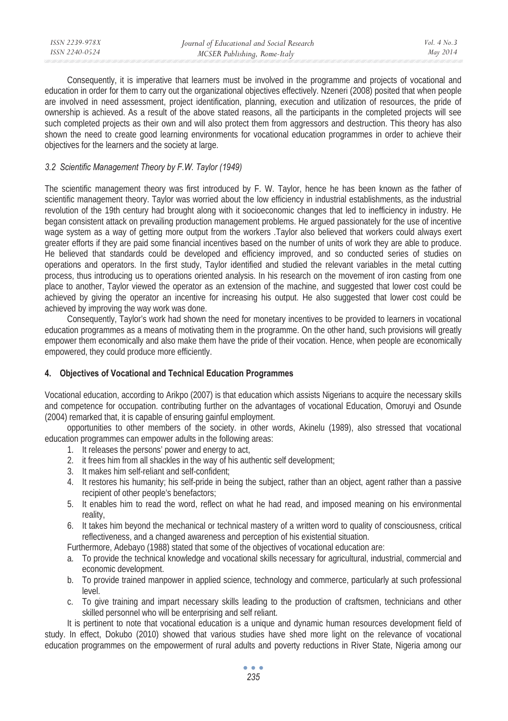| ISSN 2239-978X | Journal of Educational and Social Research | Vol. $4$ No. $3$ |
|----------------|--------------------------------------------|------------------|
| ISSN 2240-0524 | MCSER Publishing, Rome-Italy               | May 2014         |
|                |                                            |                  |

Consequently, it is imperative that learners must be involved in the programme and projects of vocational and education in order for them to carry out the organizational objectives effectively. Nzeneri (2008) posited that when people are involved in need assessment, project identification, planning, execution and utilization of resources, the pride of ownership is achieved. As a result of the above stated reasons, all the participants in the completed projects will see such completed projects as their own and will also protect them from aggressors and destruction. This theory has also shown the need to create good learning environments for vocational education programmes in order to achieve their objectives for the learners and the society at large.

## *3.2 Scientific Management Theory by F.W. Taylor (1949)*

The scientific management theory was first introduced by F. W. Taylor, hence he has been known as the father of scientific management theory. Taylor was worried about the low efficiency in industrial establishments, as the industrial revolution of the 19th century had brought along with it socioeconomic changes that led to inefficiency in industry. He began consistent attack on prevailing production management problems. He argued passionately for the use of incentive wage system as a way of getting more output from the workers .Taylor also believed that workers could always exert greater efforts if they are paid some financial incentives based on the number of units of work they are able to produce. He believed that standards could be developed and efficiency improved, and so conducted series of studies on operations and operators. In the first study, Taylor identified and studied the relevant variables in the metal cutting process, thus introducing us to operations oriented analysis. In his research on the movement of iron casting from one place to another, Taylor viewed the operator as an extension of the machine, and suggested that lower cost could be achieved by giving the operator an incentive for increasing his output. He also suggested that lower cost could be achieved by improving the way work was done.

Consequently, Taylor's work had shown the need for monetary incentives to be provided to learners in vocational education programmes as a means of motivating them in the programme. On the other hand, such provisions will greatly empower them economically and also make them have the pride of their vocation. Hence, when people are economically empowered, they could produce more efficiently.

## **4. Objectives of Vocational and Technical Education Programmes**

Vocational education, according to Arikpo (2007) is that education which assists Nigerians to acquire the necessary skills and competence for occupation. contributing further on the advantages of vocational Education, Omoruyi and Osunde (2004) remarked that, it is capable of ensuring gainful employment.

opportunities to other members of the society. in other words, Akinelu (1989), also stressed that vocational education programmes can empower adults in the following areas:

- 1. It releases the persons' power and energy to act,
- 2. it frees him from all shackles in the way of his authentic self development;
- 3. It makes him self-reliant and self-confident;
- 4. It restores his humanity; his self-pride in being the subject, rather than an object, agent rather than a passive recipient of other people's benefactors;
- 5. It enables him to read the word, reflect on what he had read, and imposed meaning on his environmental reality,
- 6. It takes him beyond the mechanical or technical mastery of a written word to quality of consciousness, critical reflectiveness, and a changed awareness and perception of his existential situation.

Furthermore, Adebayo (1988) stated that some of the objectives of vocational education are:

- a. To provide the technical knowledge and vocational skills necessary for agricultural, industrial, commercial and economic development.
- b. To provide trained manpower in applied science, technology and commerce, particularly at such professional level.
- c. To give training and impart necessary skills leading to the production of craftsmen, technicians and other skilled personnel who will be enterprising and self reliant.

It is pertinent to note that vocational education is a unique and dynamic human resources development field of study. In effect, Dokubo (2010) showed that various studies have shed more light on the relevance of vocational education programmes on the empowerment of rural adults and poverty reductions in River State, Nigeria among our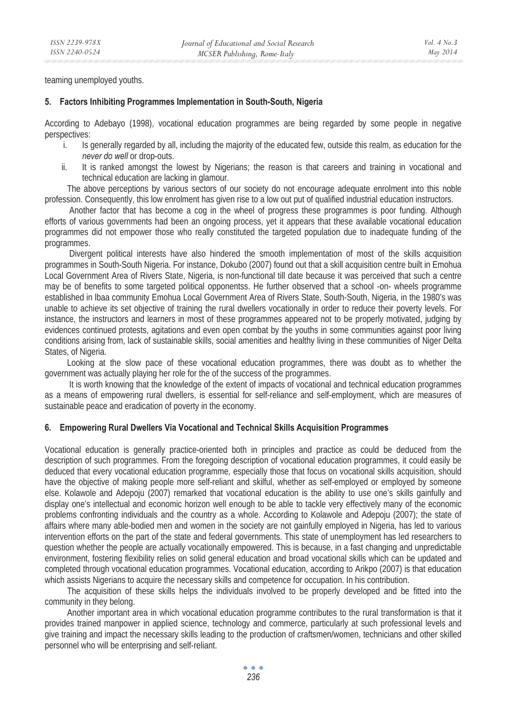teaming unemployed youths.

#### **5. Factors Inhibiting Programmes Implementation in South-South, Nigeria**

According to Adebayo (1998), vocational education programmes are being regarded by some people in negative perspectives:

- i. Is generally regarded by all, including the majority of the educated few, outside this realm, as education for the *never do well* or drop-outs.
- ii. It is ranked amongst the lowest by Nigerians; the reason is that careers and training in vocational and technical education are lacking in glamour.

The above perceptions by various sectors of our society do not encourage adequate enrolment into this noble profession. Consequently, this low enrolment has given rise to a low out put of qualified industrial education instructors.

 Another factor that has become a cog in the wheel of progress these programmes is poor funding. Although efforts of various governments had been an ongoing process, yet it appears that these available vocational education programmes did not empower those who really constituted the targeted population due to inadequate funding of the programmes.

 Divergent political interests have also hindered the smooth implementation of most of the skills acquisition programmes in South-South Nigeria. For instance, Dokubo (2007) found out that a skill acquisition centre built in Emohua Local Government Area of Rivers State, Nigeria, is non-functional till date because it was perceived that such a centre may be of benefits to some targeted political opponentss. He further observed that a school -on- wheels programme established in lbaa community Emohua Local Government Area of Rivers State, South-South, Nigeria, in the 1980's was unable to achieve its set objective of training the rural dwellers vocationally in order to reduce their poverty levels. For instance, the instructors and learners in most of these programmes appeared not to be properly motivated, judging by evidences continued protests, agitations and even open combat by the youths in some communities against poor living conditions arising from, lack of sustainable skills, social amenities and healthy living in these communities of Niger Delta States, of Nigeria.

Looking at the slow pace of these vocational education programmes, there was doubt as to whether the government was actually playing her role for the of the success of the programmes.

 It is worth knowing that the knowledge of the extent of impacts of vocational and technical education programmes as a means of empowering rural dwellers, is essential for self-reliance and self-employment, which are measures of sustainable peace and eradication of poverty in the economy.

#### **6. Empowering Rural Dwellers Via Vocational and Technical Skills Acquisition Programmes**

Vocational education is generally practice-oriented both in principles and practice as could be deduced from the description of such programmes. From the foregoing description of vocational education programmes, it could easily be deduced that every vocational education programme, especially those that focus on vocational skills acquisition, should have the objective of making people more self-reliant and skilful, whether as self-employed or employed by someone else. Kolawole and Adepoju (2007) remarked that vocational education is the ability to use one's skills gainfully and display one's intellectual and economic horizon well enough to be able to tackle very effectively many of the economic problems confronting individuals and the country as a whole. According to Kolawole and Adepoju (2007); the state of affairs where many able-bodied men and women in the society are not gainfully employed in Nigeria, has led to various intervention efforts on the part of the state and federal governments. This state of unemployment has led researchers to question whether the people are actually vocationally empowered. This is because, in a fast changing and unpredictable environment, fostering flexibility relies on solid general education and broad vocational skills which can be updated and completed through vocational education programmes. Vocational education, according to Arikpo (2007) is that education which assists Nigerians to acquire the necessary skills and competence for occupation. In his contribution.

The acquisition of these skills helps the individuals involved to be properly developed and be fitted into the community in they belong.

Another important area in which vocational education programme contributes to the rural transformation is that it provides trained manpower in applied science, technology and commerce, particularly at such professional levels and give training and impact the necessary skills leading to the production of craftsmen/women, technicians and other skilled personnel who will be enterprising and self-reliant.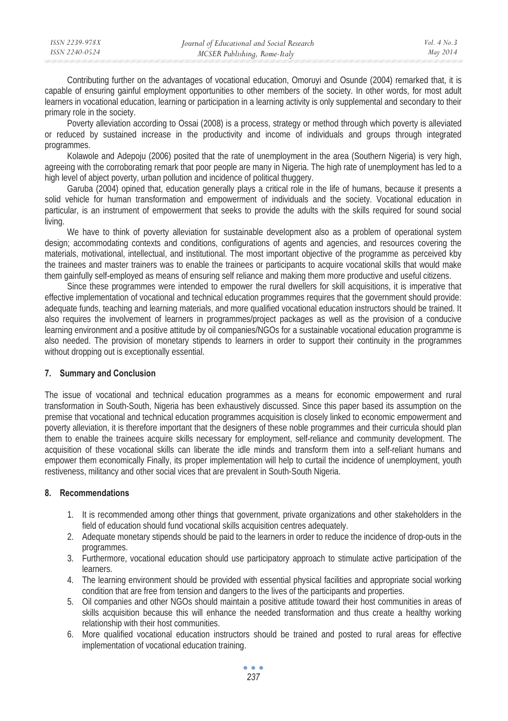Contributing further on the advantages of vocational education, Omoruyi and Osunde (2004) remarked that, it is capable of ensuring gainful employment opportunities to other members of the society. In other words, for most adult learners in vocational education, learning or participation in a learning activity is only supplemental and secondary to their primary role in the society.

Poverty alleviation according to Ossai (2008) is a process, strategy or method through which poverty is alleviated or reduced by sustained increase in the productivity and income of individuals and groups through integrated programmes.

Kolawole and Adepoju (2006) posited that the rate of unemployment in the area (Southern Nigeria) is very high, agreeing with the corroborating remark that poor people are many in Nigeria. The high rate of unemployment has led to a high level of abject poverty, urban pollution and incidence of political thuggery.

Garuba (2004) opined that, education generally plays a critical role in the life of humans, because it presents a solid vehicle for human transformation and empowerment of individuals and the society. Vocational education in particular, is an instrument of empowerment that seeks to provide the adults with the skills required for sound social living.

We have to think of poverty alleviation for sustainable development also as a problem of operational system design; accommodating contexts and conditions, configurations of agents and agencies, and resources covering the materials, motivational, intellectual, and institutional. The most important objective of the programme as perceived kby the trainees and master trainers was to enable the trainees or participants to acquire vocational skills that would make them gainfully self-employed as means of ensuring self reliance and making them more productive and useful citizens.

Since these programmes were intended to empower the rural dwellers for skill acquisitions, it is imperative that effective implementation of vocational and technical education programmes requires that the government should provide: adequate funds, teaching and learning materials, and more qualified vocational education instructors should be trained. It also requires the involvement of learners in programmes/project packages as well as the provision of a conducive learning environment and a positive attitude by oil companies/NGOs for a sustainable vocational education programme is also needed. The provision of monetary stipends to learners in order to support their continuity in the programmes without dropping out is exceptionally essential.

# **7. Summary and Conclusion**

The issue of vocational and technical education programmes as a means for economic empowerment and rural transformation in South-South, Nigeria has been exhaustively discussed. Since this paper based its assumption on the premise that vocational and technical education programmes acquisition is closely linked to economic empowerment and poverty alleviation, it is therefore important that the designers of these noble programmes and their curricula should plan them to enable the trainees acquire skills necessary for employment, self-reliance and community development. The acquisition of these vocational skills can liberate the idle minds and transform them into a self-reliant humans and empower them economically Finally, its proper implementation will help to curtail the incidence of unemployment, youth restiveness, militancy and other social vices that are prevalent in South-South Nigeria.

# **8. Recommendations**

- 1. It is recommended among other things that government, private organizations and other stakeholders in the field of education should fund vocational skills acquisition centres adequately.
- 2. Adequate monetary stipends should be paid to the learners in order to reduce the incidence of drop-outs in the programmes.
- 3. Furthermore, vocational education should use participatory approach to stimulate active participation of the learners.
- 4. The learning environment should be provided with essential physical facilities and appropriate social working condition that are free from tension and dangers to the lives of the participants and properties.
- 5. Oil companies and other NGOs should maintain a positive attitude toward their host communities in areas of skills acquisition because this will enhance the needed transformation and thus create a healthy working relationship with their host communities.
- 6. More qualified vocational education instructors should be trained and posted to rural areas for effective implementation of vocational education training.